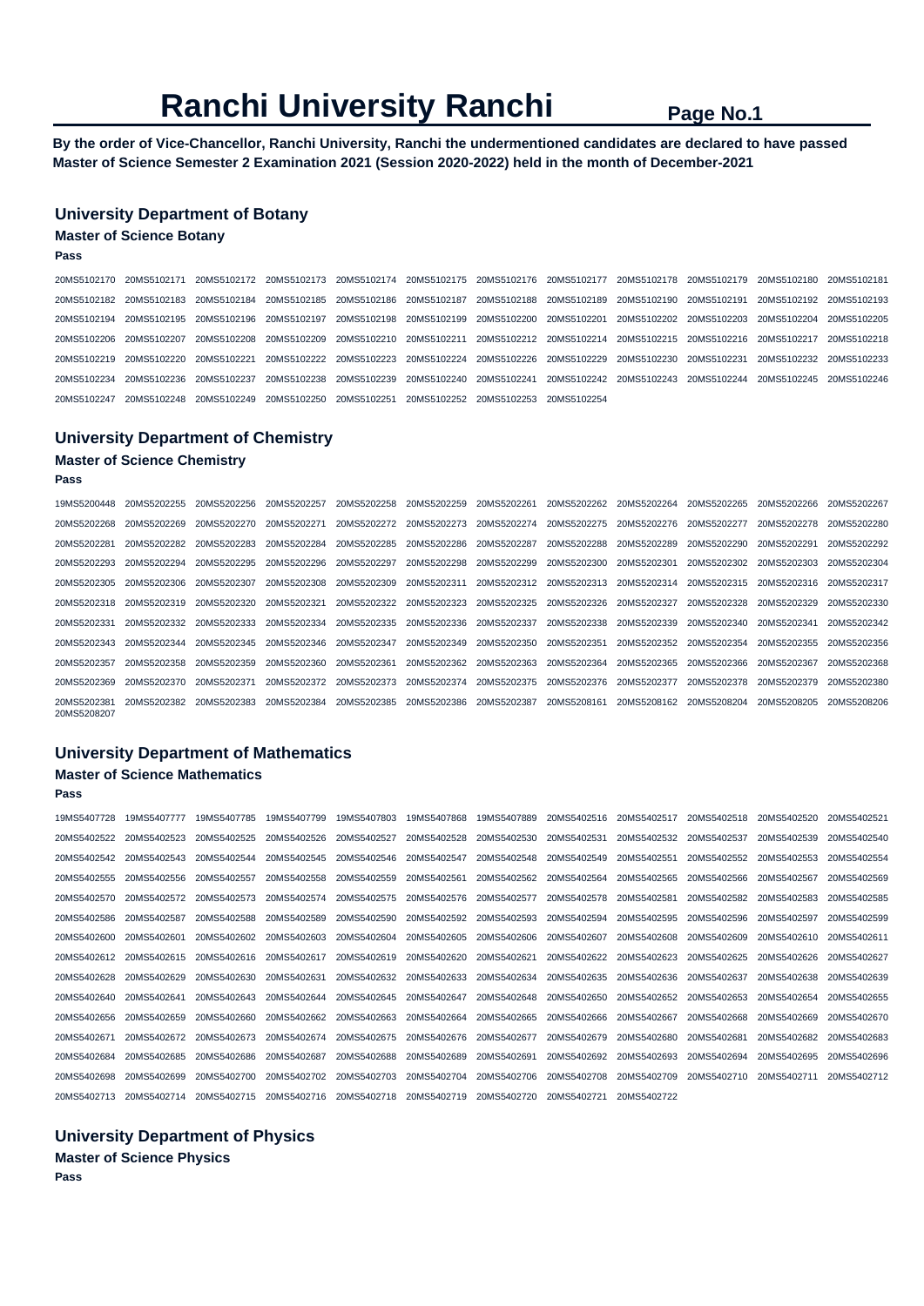## **Ranchi University Ranchi Page No.1**

**By the order of Vice-Chancellor, Ranchi University, Ranchi the undermentioned candidates are declared to have passed Master of Science Semester 2 Examination 2021 (Session 2020-2022) held in the month of December-2021** 

## **University Department of Botany**

## **Master of Science Botany**

**Pass** 

|  | 20MS5102170 20MS5102171 20MS5102172 20MS5102173 20MS5102174 20MS5102175 20MS5102176 20MS5102177 20MS5102178 20MS5102179 20MS5102181             |  |  |  |  |  |
|--|-------------------------------------------------------------------------------------------------------------------------------------------------|--|--|--|--|--|
|  | 20MS5102182 20MS5102183 20MS5102184 20MS5102185 20MS5102186 20MS5102187 20MS5102188 20MS5102189 20MS5102190 20MS5102191 20MS5102192 20MS5102193 |  |  |  |  |  |
|  | 20MS5102194 20MS5102195 20MS5102196 20MS5102197 20MS5102198 20MS5102199 20MS5102200 20MS5102201 20MS5102202 20MS5102203 20MS5102204 20MS5102205 |  |  |  |  |  |
|  | 20MS5102206 20MS5102207 20MS5102208 20MS5102209 20MS5102210 20MS5102211 20MS5102212 20MS5102214 20MS5102215 20MS5102216 20MS5102217 20MS5102218 |  |  |  |  |  |
|  | 20MS5102219 20MS5102220 20MS5102221 20MS5102222 20MS5102223 20MS5102224 20MS5102226 20MS5102229 20MS5102230 20MS5102231 20MS5102232 20MS5102233 |  |  |  |  |  |
|  | 20MS5102234 20MS5102236 20MS5102237 20MS5102238 20MS5102239 20MS5102240 20MS5102241 20MS5102242 20MS5102243 20MS5102244 20MS5102245 20MS5102246 |  |  |  |  |  |
|  | 20MS5102247 20MS5102248 20MS5102249 20MS5102250 20MS5102251 20MS5102252 20MS5102253 20MS5102254                                                 |  |  |  |  |  |

## **University Department of Chemistry**

## **Master of Science Chemistry**

**Pass** 

| 19MS5200448 20MS5202255    |                         | 20MS5202256 | 20MS5202257 | 20MS5202258             | 20MS5202259 | 20MS5202261 | 20MS5202262                         | 20MS5202264 | 20MS5202265 | 20MS5202266 | 20MS5202267 |
|----------------------------|-------------------------|-------------|-------------|-------------------------|-------------|-------------|-------------------------------------|-------------|-------------|-------------|-------------|
| 20MS5202268                | 20MS5202269             | 20MS5202270 | 20MS5202271 | 20MS5202272             | 20MS5202273 | 20MS5202274 | 20MS5202275                         | 20MS5202276 | 20MS5202277 | 20MS5202278 | 20MS5202280 |
| 20MS5202281                | 20MS5202282             | 20MS5202283 |             | 20MS5202284 20MS5202285 | 20MS5202286 | 20MS5202287 | 20MS5202288 20MS5202289             |             | 20MS5202290 | 20MS5202291 | 20MS5202292 |
| 20MS5202293                | 20MS5202294             | 20MS5202295 |             | 20MS5202296 20MS5202297 | 20MS5202298 | 20MS5202299 | 20MS5202300                         | 20MS5202301 | 20MS5202302 | 20MS5202303 | 20MS5202304 |
|                            | 20MS5202305 20MS5202306 | 20MS5202307 |             | 20MS5202308 20MS5202309 | 20MS5202311 |             | 20MS5202312 20MS5202313 20MS5202314 |             | 20MS5202315 | 20MS5202316 | 20MS5202317 |
| 20MS5202318 20MS5202319    |                         | 20MS5202320 | 20MS5202321 | 20MS5202322             | 20MS5202323 | 20MS5202325 | 20MS5202326                         | 20MS5202327 | 20MS5202328 | 20MS5202329 | 20MS5202330 |
| 20MS5202331                | 20MS5202332             | 20MS5202333 |             | 20MS5202334 20MS5202335 | 20MS5202336 | 20MS5202337 | 20MS5202338                         | 20MS5202339 | 20MS5202340 | 20MS5202341 | 20MS5202342 |
| 20MS5202343 20MS5202344    |                         | 20MS5202345 |             | 20MS5202346 20MS5202347 | 20MS5202349 | 20MS5202350 | 20MS5202351                         | 20MS5202352 | 20MS5202354 | 20MS5202355 | 20MS5202356 |
| 20MS5202357                | 20MS5202358             | 20MS5202359 | 20MS5202360 | 20MS5202361             | 20MS5202362 | 20MS5202363 | 20MS5202364                         | 20MS5202365 | 20MS5202366 | 20MS5202367 | 20MS5202368 |
| 20MS5202369                | 20MS5202370             | 20MS5202371 |             | 20MS5202372 20MS5202373 | 20MS5202374 | 20MS5202375 | 20MS5202376                         | 20MS5202377 | 20MS5202378 | 20MS5202379 | 20MS5202380 |
| 20MS5202381<br>20MS5208207 | 20MS5202382             | 20MS5202383 | 20MS5202384 | 20MS5202385             | 20MS5202386 | 20MS5202387 | 20MS5208161                         | 20MS5208162 | 20MS5208204 | 20MS5208205 | 20MS5208206 |

## **University Department of Mathematics**

## **Master of Science Mathematics**

**Pass** 

19MS5407728 19MS5407777 19MS5407785 19MS5407799 19MS5407803 19MS5407868 19MS5407889 20MS5402516 20MS5402517 20MS5402518 20MS5402520 20MS5402521 20MS5402522 20MS5402523 20MS5402525 20MS5402526 20MS5402527 20MS5402528 20MS5402530 20MS5402531 20MS5402532 20MS5402537 20MS5402539 20MS5402540 20MS5402542 20MS5402543 20MS5402544 20MS5402545 20MS5402546 20MS5402547 20MS5402548 20MS5402549 20MS5402551 20MS5402552 20MS5402553 20MS5402554 20MS5402555 20MS5402556 20MS5402557 20MS5402558 20MS5402559 20MS5402561 20MS5402562 20MS5402564 20MS5402565 20MS5402566 20MS5402567 20MS5402569 20MS5402570 20MS5402572 20MS5402573 20MS5402574 20MS5402575 20MS5402576 20MS5402577 20MS5402578 20MS5402581 20MS5402582 20MS5402583 20MS5402585 20MS5402586 20MS5402587 20MS5402588 20MS5402589 20MS5402590 20MS5402592 20MS5402593 20MS5402594 20MS5402595 20MS5402596 20MS5402597 20MS5402599 20MS5402600 20MS5402601 20MS5402602 20MS5402603 20MS5402604 20MS5402605 20MS5402606 20MS5402607 20MS5402608 20MS5402609 20MS5402610 20MS5402611 20MS5402612 20MS5402615 20MS5402616 20MS5402617 20MS5402619 20MS5402620 20MS5402621 20MS5402622 20MS5402623 20MS5402625 20MS5402626 20MS5402627 20MS5402628 20MS5402629 20MS5402630 20MS5402631 20MS5402632 20MS5402633 20MS5402634 20MS5402635 20MS5402636 20MS5402637 20MS5402638 20MS5402639 20MS5402640 20MS5402641 20MS5402643 20MS5402644 20MS5402645 20MS5402647 20MS5402648 20MS5402650 20MS5402652 20MS5402653 20MS5402654 20MS5402655 20MS5402656 20MS5402659 20MS5402660 20MS5402662 20MS5402663 20MS5402664 20MS5402665 20MS5402666 20MS5402667 20MS5402668 20MS5402669 20MS5402670 20MS5402671 20MS5402672 20MS5402673 20MS5402674 20MS5402675 20MS5402676 20MS5402677 20MS5402679 20MS5402680 20MS5402681 20MS5402682 20MS5402683 20MS5402684 20MS5402685 20MS5402686 20MS5402687 20MS5402688 20MS5402689 20MS5402691 20MS5402692 20MS5402693 20MS5402694 20MS5402695 20MS5402696 20MS5402698 20MS5402699 20MS5402700 20MS5402702 20MS5402703 20MS5402704 20MS5402706 20MS5402708 20MS5402709 20MS5402710 20MS5402711 20MS5402712 20MS5402713 20MS5402714 20MS5402715 20MS5402716 20MS5402718 20MS5402719 20MS5402720 20MS5402721 20MS5402722

## **University Department of Physics Master of Science Physics**

**Pass**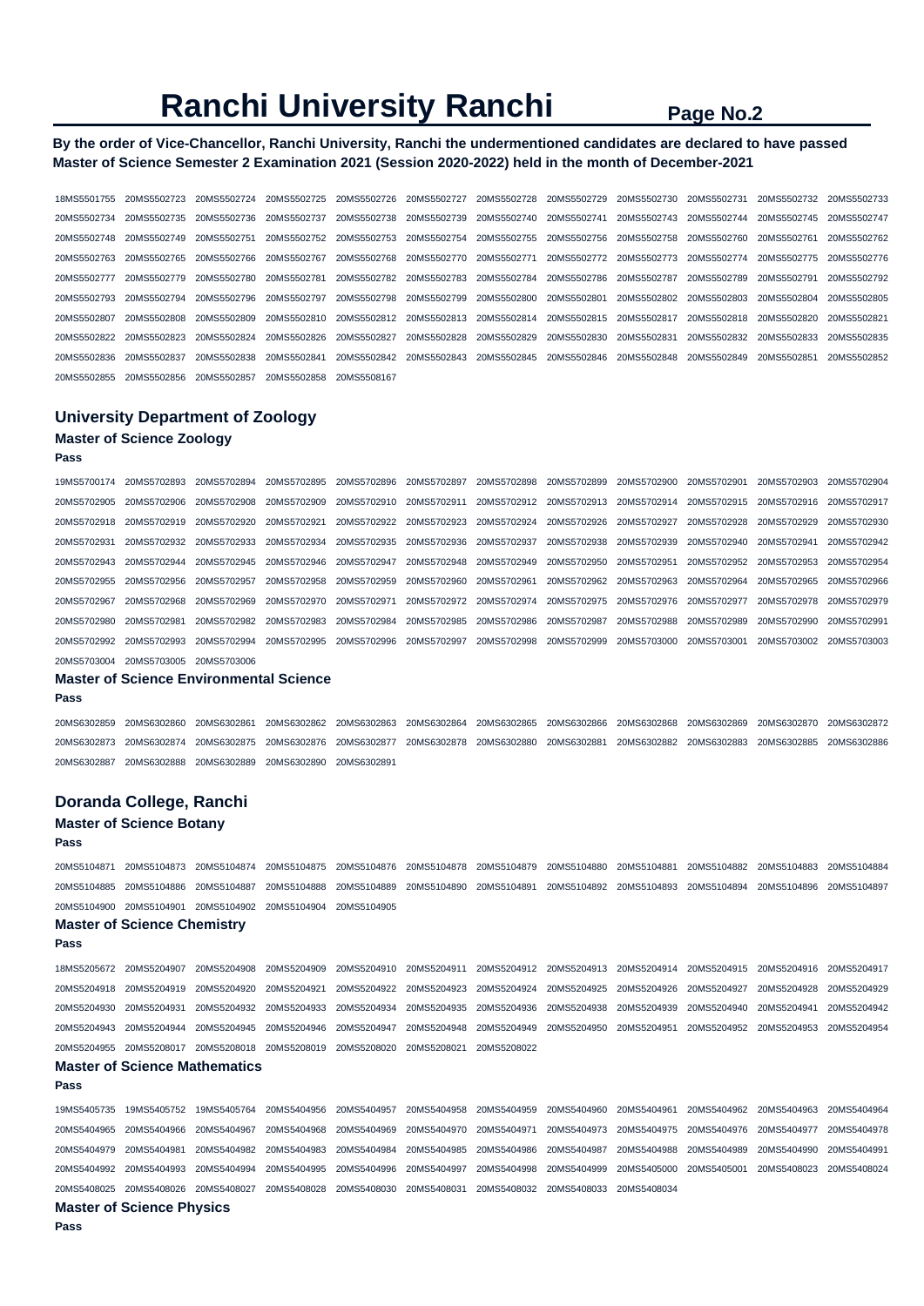## **Ranchi University Ranchi** Page No.2

## **By the order of Vice-Chancellor, Ranchi University, Ranchi the undermentioned candidates are declared to have passed Master of Science Semester 2 Examination 2021 (Session 2020-2022) held in the month of December-2021**

18MS5501755 20MS5502723 20MS5502724 20MS5502725 20MS5502726 20MS5502727 20MS5502728 20MS5502729 20MS5502730 20MS5502731 20MS5502732 20MS5502733 20MS5502734 20MS5502735 20MS5502736 20MS5502737 20MS5502738 20MS5502739 20MS5502740 20MS5502741 20MS5502743 20MS5502744 20MS5502745 20MS5502747 20MS5502748 20MS5502749 20MS5502751 20MS5502752 20MS5502753 20MS5502754 20MS5502755 20MS5502756 20MS5502758 20MS5502760 20MS5502761 20MS5502762 20MS5502763 20MS5502765 20MS5502766 20MS5502767 20MS5502768 20MS5502770 20MS5502771 20MS5502772 20MS5502773 20MS5502774 20MS5502775 20MS5502776 20MS5502777 20MS5502779 20MS5502780 20MS5502781 20MS5502782 20MS5502783 20MS5502784 20MS5502786 20MS5502787 20MS5502789 20MS5502791 20MS5502792 20MS5502793 20MS5502794 20MS5502796 20MS5502797 20MS5502798 20MS5502799 20MS5502800 20MS5502801 20MS5502802 20MS5502803 20MS5502804 20MS5502805 20MS5502807 20MS5502808 20MS5502809 20MS5502810 20MS5502812 20MS5502813 20MS5502814 20MS5502815 20MS5502817 20MS5502818 20MS5502820 20MS5502821 20MS5502822 20MS5502823 20MS5502824 20MS5502826 20MS5502827 20MS5502828 20MS5502829 20MS5502830 20MS5502831 20MS5502832 20MS5502833 20MS5502835 20MS5502836 20MS5502837 20MS5502838 20MS5502841 20MS5502842 20MS5502843 20MS5502845 20MS5502846 20MS5502848 20MS5502849 20MS5502851 20MS5502852 20MS5502855 20MS5502856 20MS5502857 20MS5502858 20MS5508167

## **University Department of Zoology Master of Science Zoology**

## **Pass**

| 19MS5700174 | 20MS5702893                                    | 20MS5702894             | 20MS5702895             | 20MS5702896 20MS5702897                                                             |             |                                                             | 20MS5702898 20MS5702899 20MS5702900 20MS5702901 |             | 20MS5702903             | 20MS5702904 |
|-------------|------------------------------------------------|-------------------------|-------------------------|-------------------------------------------------------------------------------------|-------------|-------------------------------------------------------------|-------------------------------------------------|-------------|-------------------------|-------------|
| 20MS5702905 | 20MS5702906                                    |                         |                         | 20MS5702908 20MS5702909 20MS5702910 20MS5702911                                     |             |                                                             | 20MS5702912 20MS5702913 20MS5702914 20MS5702915 |             | 20MS5702916 20MS5702917 |             |
| 20MS5702918 | 20MS5702919                                    | 20MS5702920 20MS5702921 |                         | 20MS5702922 20MS5702923                                                             |             |                                                             | 20MS5702924 20MS5702926 20MS5702927             | 20MS5702928 | 20MS5702929             | 20MS5702930 |
| 20MS5702931 | 20MS5702932                                    |                         |                         | 20MS5702933 20MS5702934 20MS5702935 20MS5702936 20MS5702937 20MS5702938 20MS5702939 |             |                                                             |                                                 | 20MS5702940 | 20MS5702941             | 20MS5702942 |
| 20MS5702943 | 20MS5702944                                    | 20MS5702945             | 20MS5702946 20MS5702947 |                                                                                     | 20MS5702948 | 20MS5702949                                                 | 20MS5702950 20MS5702951                         | 20MS5702952 | 20MS5702953             | 20MS5702954 |
| 20MS5702955 | 20MS5702956                                    | 20MS5702957             |                         | 20MS5702958 20MS5702959 20MS5702960 20MS5702961                                     |             |                                                             | 20MS5702962 20MS5702963                         | 20MS5702964 | 20MS5702965             | 20MS5702966 |
| 20MS5702967 | 20MS5702968                                    |                         |                         | 20MS5702969 20MS5702970 20MS5702971                                                 |             | 20MS5702972 20MS5702974 20MS5702975 20MS5702976 20MS5702977 |                                                 |             | 20MS5702978             | 20MS5702979 |
| 20MS5702980 | 20MS5702981                                    |                         |                         | 20MS5702982 20MS5702983 20MS5702984                                                 | 20MS5702985 |                                                             | 20MS5702986 20MS5702987 20MS5702988             | 20MS5702989 | 20MS5702990             | 20MS5702991 |
| 20MS5702992 | 20MS5702993                                    | 20MS5702994             |                         | 20MS5702995 20MS5702996                                                             | 20MS5702997 |                                                             | 20MS5702998 20MS5702999 20MS5703000             | 20MS5703001 | 20MS5703002 20MS5703003 |             |
| 20MS5703004 | 20MS5703005                                    | 20MS5703006             |                         |                                                                                     |             |                                                             |                                                 |             |                         |             |
|             | <b>Master of Science Environmental Science</b> |                         |                         |                                                                                     |             |                                                             |                                                 |             |                         |             |

#### **Pass**

20MS6302859 20MS6302860 20MS6302861 20MS6302862 20MS6302863 20MS6302864 20MS6302865 20MS6302866 20MS6302868 20MS6302869 20MS6302870 20MS6302872 20MS6302873 20MS6302874 20MS6302875 20MS6302876 20MS6302877 20MS6302878 20MS6302880 20MS6302881 20MS6302882 20MS6302883 20MS6302885 20MS6302886 20MS6302887 20MS6302888 20MS6302889 20MS6302890 20MS6302891

### **Doranda College, Ranchi**

## **Master of Science Botany**

### **Pass**

20MS5104871 20MS5104873 20MS5104874 20MS5104875 20MS5104876 20MS5104878 20MS5104879 20MS5104880 20MS5104881 20MS5104882 20MS5104883 20MS5104884 20MS5104885 20MS5104886 20MS5104887 20MS5104888 20MS5104889 20MS5104890 20MS5104891 20MS5104892 20MS5104893 20MS5104894 20MS5104896 20MS5104897 20MS5104900 20MS5104901 20MS5104902 20MS5104904 20MS5104905 **Master of Science Chemistry** 

## **Pass**

18MS5205672 20MS5204907 20MS5204908 20MS5204909 20MS5204910 20MS5204911 20MS5204912 20MS5204913 20MS5204914 20MS5204915 20MS5204916 20MS5204917 20MS5204918 20MS5204919 20MS5204920 20MS5204921 20MS5204922 20MS5204923 20MS5204924 20MS5204925 20MS5204926 20MS5204927 20MS5204928 20MS5204929 20MS5204930 20MS5204931 20MS5204932 20MS5204933 20MS5204934 20MS5204935 20MS5204936 20MS5204938 20MS5204939 20MS5204940 20MS5204941 20MS5204942 20MS5204943 20MS5204944 20MS5204945 20MS5204946 20MS5204947 20MS5204948 20MS5204949 20MS5204950 20MS5204951 20MS5204952 20MS5204953 20MS5204954 20MS5204955 20MS5208017 20MS5208018 20MS5208019 20MS5208020 20MS5208021 20MS5208022

## **Master of Science Mathematics**

**Pass**  19MS5405735 19MS5405752 19MS5405764 20MS5404956 20MS5404957 20MS5404958 20MS5404959 20MS5404960 20MS5404961 20MS5404962 20MS5404963 20MS5404964 20MS5404965 20MS5404966 20MS5404967 20MS5404968 20MS5404969 20MS5404970 20MS5404971 20MS5404973 20MS5404975 20MS5404976 20MS5404977 20MS5404978 20MS5404979 20MS5404981 20MS5404982 20MS5404983 20MS5404984 20MS5404985 20MS5404986 20MS5404987 20MS5404988 20MS5404989 20MS5404990 20MS5404991 20MS5404992 20MS5404993 20MS5404994 20MS5404995 20MS5404996 20MS5404997 20MS5404998 20MS5404999 20MS5405000 20MS5405001 20MS5408023 20MS5408024 20MS5408025 20MS5408026 20MS5408027 20MS5408028 20MS5408030 20MS5408031 20MS5408032 20MS5408033 20MS5408034

## **Master of Science Physics**

**Pass**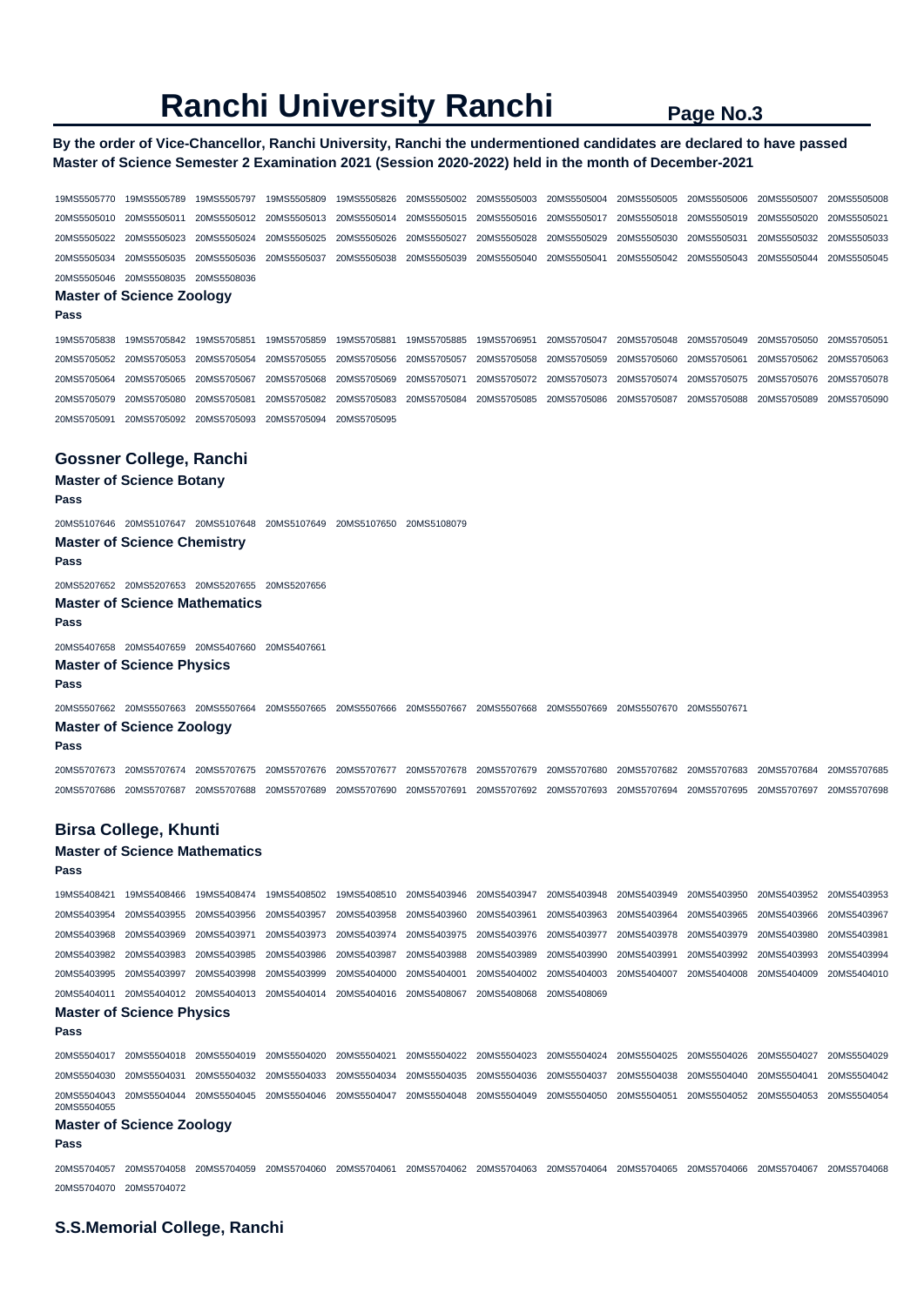# **Ranchi University Ranchi** Page No.3

## **By the order of Vice-Chancellor, Ranchi University, Ranchi the undermentioned candidates are declared to have passed Master of Science Semester 2 Examination 2021 (Session 2020-2022) held in the month of December-2021**

| 19MS5505770                | 19MS5505789                                                                                                                                                 | 19MS5505797                | 19MS5505809                | 19MS5505826                | 20MS5505002                | 20MS5505003                | 20MS5505004                | 20MS5505005                | 20MS5505006                | 20MS5505007                | 20MS5505008                |
|----------------------------|-------------------------------------------------------------------------------------------------------------------------------------------------------------|----------------------------|----------------------------|----------------------------|----------------------------|----------------------------|----------------------------|----------------------------|----------------------------|----------------------------|----------------------------|
| 20MS5505010                | 20MS5505011                                                                                                                                                 | 20MS5505012                | 20MS5505013                | 20MS5505014                | 20MS5505015                | 20MS5505016                | 20MS5505017                | 20MS5505018                | 20MS5505019                | 20MS5505020                | 20MS5505021                |
| 20MS5505022                | 20MS5505023                                                                                                                                                 | 20MS5505024                | 20MS5505025                | 20MS5505026                | 20MS5505027                | 20MS5505028                | 20MS5505029                | 20MS5505030                | 20MS5505031                | 20MS5505032                | 20MS5505033                |
| 20MS5505034                | 20MS5505035                                                                                                                                                 | 20MS5505036                | 20MS5505037                | 20MS5505038                | 20MS5505039                | 20MS5505040                | 20MS5505041                | 20MS5505042                | 20MS5505043                | 20MS5505044                | 20MS5505045                |
|                            | 20MS5505046 20MS5508035                                                                                                                                     | 20MS5508036                |                            |                            |                            |                            |                            |                            |                            |                            |                            |
| Pass                       | <b>Master of Science Zoology</b>                                                                                                                            |                            |                            |                            |                            |                            |                            |                            |                            |                            |                            |
|                            |                                                                                                                                                             |                            |                            |                            |                            |                            |                            |                            |                            |                            |                            |
| 19MS5705838                | 19MS5705842                                                                                                                                                 | 19MS5705851                | 19MS5705859                | 19MS5705881                | 19MS5705885                | 19MS5706951                | 20MS5705047                | 20MS5705048                | 20MS5705049                | 20MS5705050                | 20MS5705051                |
| 20MS5705052                | 20MS5705053                                                                                                                                                 | 20MS5705054                | 20MS5705055                | 20MS5705056                | 20MS5705057                | 20MS5705058                | 20MS5705059                | 20MS5705060                | 20MS5705061                | 20MS5705062                | 20MS5705063                |
| 20MS5705064                | 20MS5705065                                                                                                                                                 | 20MS5705067                | 20MS5705068                | 20MS5705069                | 20MS5705071                | 20MS5705072                | 20MS5705073                | 20MS5705074                | 20MS5705075                | 20MS5705076                | 20MS5705078                |
| 20MS5705079                | 20MS5705080                                                                                                                                                 | 20MS5705081                | 20MS5705082                | 20MS5705083                | 20MS5705084                | 20MS5705085                | 20MS5705086                | 20MS5705087                | 20MS5705088                | 20MS5705089                | 20MS5705090                |
| 20MS5705091                | 20MS5705092                                                                                                                                                 | 20MS5705093                | 20MS5705094                | 20MS5705095                |                            |                            |                            |                            |                            |                            |                            |
|                            | Gossner College, Ranchi                                                                                                                                     |                            |                            |                            |                            |                            |                            |                            |                            |                            |                            |
|                            | <b>Master of Science Botany</b>                                                                                                                             |                            |                            |                            |                            |                            |                            |                            |                            |                            |                            |
| Pass                       |                                                                                                                                                             |                            |                            |                            |                            |                            |                            |                            |                            |                            |                            |
|                            |                                                                                                                                                             |                            |                            | 20MS5107650                | 20MS5108079                |                            |                            |                            |                            |                            |                            |
| Pass                       | <b>Master of Science Chemistry</b>                                                                                                                          |                            |                            |                            |                            |                            |                            |                            |                            |                            |                            |
|                            | 20MS5207652 20MS5207653 20MS5207655 20MS5207656                                                                                                             |                            |                            |                            |                            |                            |                            |                            |                            |                            |                            |
| Pass                       | <b>Master of Science Mathematics</b>                                                                                                                        |                            |                            |                            |                            |                            |                            |                            |                            |                            |                            |
|                            | 20MS5407658 20MS5407659 20MS5407660                                                                                                                         |                            | 20MS5407661                |                            |                            |                            |                            |                            |                            |                            |                            |
| Pass                       | <b>Master of Science Physics</b>                                                                                                                            |                            |                            |                            |                            |                            |                            |                            |                            |                            |                            |
|                            | 20MS5507662 20MS5507663 20MS5507664                                                                                                                         |                            | 20MS5507665                | 20MS5507666 20MS5507667    |                            | 20MS5507668 20MS5507669    |                            | 20MS5507670                | 20MS5507671                |                            |                            |
| Pass                       | <b>Master of Science Zoology</b>                                                                                                                            |                            |                            |                            |                            |                            |                            |                            |                            |                            |                            |
|                            |                                                                                                                                                             |                            |                            |                            |                            |                            |                            |                            |                            |                            |                            |
| 20MS5707673<br>20MS5707686 | 20MS5707674<br>20MS5707687                                                                                                                                  | 20MS5707675<br>20MS5707688 | 20MS5707676<br>20MS5707689 | 20MS5707677<br>20MS5707690 | 20MS5707678<br>20MS5707691 | 20MS5707679<br>20MS5707692 | 20MS5707680<br>20MS5707693 | 20MS5707682<br>20MS5707694 | 20MS5707683<br>20MS5707695 | 20MS5707684<br>20MS5707697 | 20MS5707685<br>20MS5707698 |
|                            |                                                                                                                                                             |                            |                            |                            |                            |                            |                            |                            |                            |                            |                            |
|                            | <b>Birsa College, Khunti</b>                                                                                                                                |                            |                            |                            |                            |                            |                            |                            |                            |                            |                            |
| Pass                       | <b>Master of Science Mathematics</b>                                                                                                                        |                            |                            |                            |                            |                            |                            |                            |                            |                            |                            |
| 19MS5408421                | 19MS5408466                                                                                                                                                 | 19MS5408474                | 19MS5408502                | 19MS5408510                | 20MS5403946                | 20MS5403947                | 20MS5403948                | 20MS5403949                | 20MS5403950                | 20MS5403952                | 20MS5403953                |
| 20MS5403954                | 20MS5403955                                                                                                                                                 | 20MS5403956                | 20MS5403957                | 20MS5403958                | 20MS5403960                | 20MS5403961                | 20MS5403963                | 20MS5403964                | 20MS5403965                | 20MS5403966                | 20MS5403967                |
| 20MS5403968                | 20MS5403969                                                                                                                                                 | 20MS5403971                | 20MS5403973                | 20MS5403974                | 20MS5403975                | 20MS5403976                | 20MS5403977                | 20MS5403978                | 20MS5403979                | 20MS5403980                | 20MS5403981                |
|                            | 20MS5403982 20MS5403983                                                                                                                                     | 20MS5403985                | 20MS5403986                | 20MS5403987                | 20MS5403988                | 20MS5403989                | 20MS5403990                | 20MS5403991                | 20MS5403992                | 20MS5403993                | 20MS5403994                |
| 20MS5403995                | 20MS5403997                                                                                                                                                 | 20MS5403998                | 20MS5403999                | 20MS5404000                | 20MS5404001                | 20MS5404002                | 20MS5404003                | 20MS5404007                | 20MS5404008                | 20MS5404009                | 20MS5404010                |
| 20MS5404011                |                                                                                                                                                             | 20MS5404012 20MS5404013    | 20MS5404014                | 20MS5404016                | 20MS5408067                | 20MS5408068                | 20MS5408069                |                            |                            |                            |                            |
| Pass                       | <b>Master of Science Physics</b>                                                                                                                            |                            |                            |                            |                            |                            |                            |                            |                            |                            |                            |
|                            | 20MS5504017 20MS5504018                                                                                                                                     | 20MS5504019                | 20MS5504020                | 20MS5504021                | 20MS5504022                | 20MS5504023                | 20MS5504024                | 20MS5504025                | 20MS5504026                | 20MS5504027                | 20MS5504029                |
| 20MS5504030                | 20MS5504031                                                                                                                                                 | 20MS5504032                | 20MS5504033                | 20MS5504034                | 20MS5504035                | 20MS5504036                | 20MS5504037                | 20MS5504038                | 20MS5504040                | 20MS5504041                | 20MS5504042                |
| 20MS5504043<br>20MS5504055 | 20MS5504044 20MS5504045                                                                                                                                     |                            | 20MS5504046                | 20MS5504047                | 20MS5504048                | 20MS5504049                | 20MS5504050                | 20MS5504051                | 20MS5504052                | 20MS5504053                | 20MS5504054                |
| Pass                       | <b>Master of Science Zoology</b>                                                                                                                            |                            |                            |                            |                            |                            |                            |                            |                            |                            |                            |
|                            |                                                                                                                                                             |                            |                            |                            |                            |                            |                            |                            |                            |                            |                            |
|                            | 20MS5704057 20MS5704058 20MS5704059 20MS5704060 20MS5704061 20MS5704062 20MS5704063 20MS5704064 20MS5704065 20MS5704066 20MS5704067 20MS5704067 20MS5704068 |                            |                            |                            |                            |                            |                            |                            |                            |                            |                            |

20MS5704070 20MS5704072

## **S.S.Memorial College, Ranchi**